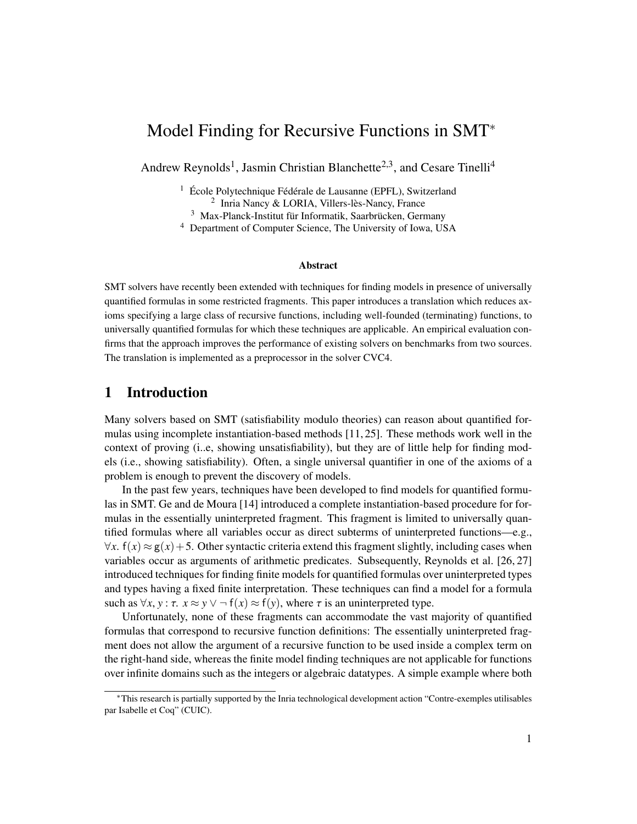# Model Finding for Recursive Functions in SMT<sup>∗</sup>

Andrew Reynolds<sup>1</sup>, Jasmin Christian Blanchette<sup>2,3</sup>, and Cesare Tinelli<sup>4</sup>

<sup>1</sup> École Polytechnique Fédérale de Lausanne (EPFL), Switzerland 2 Inria Nancy & LORIA, Villers-lès-Nancy, France

<sup>3</sup> Max-Planck-Institut für Informatik, Saarbrücken, Germany

<sup>4</sup> Department of Computer Science, The University of Iowa, USA

#### Abstract

SMT solvers have recently been extended with techniques for finding models in presence of universally quantified formulas in some restricted fragments. This paper introduces a translation which reduces axioms specifying a large class of recursive functions, including well-founded (terminating) functions, to universally quantified formulas for which these techniques are applicable. An empirical evaluation confirms that the approach improves the performance of existing solvers on benchmarks from two sources. The translation is implemented as a preprocessor in the solver CVC4.

#### 1 Introduction

Many solvers based on SMT (satisfiability modulo theories) can reason about quantified formulas using incomplete instantiation-based methods [\[11,](#page-12-0) [25\]](#page-13-0). These methods work well in the context of proving (i..e, showing unsatisfiability), but they are of little help for finding models (i.e., showing satisfiability). Often, a single universal quantifier in one of the axioms of a problem is enough to prevent the discovery of models.

In the past few years, techniques have been developed to find models for quantified formulas in SMT. Ge and de Moura [\[14\]](#page-13-1) introduced a complete instantiation-based procedure for formulas in the essentially uninterpreted fragment. This fragment is limited to universally quantified formulas where all variables occur as direct subterms of uninterpreted functions—e.g.,  $\forall x$ .  $f(x) \approx g(x) + 5$ . Other syntactic criteria extend this fragment slightly, including cases when variables occur as arguments of arithmetic predicates. Subsequently, Reynolds et al. [\[26,](#page-13-2) [27\]](#page-13-3) introduced techniques for finding finite models for quantified formulas over uninterpreted types and types having a fixed finite interpretation. These techniques can find a model for a formula such as  $\forall x, y : \tau$ .  $x \approx y \lor \neg f(x) \approx f(y)$ , where  $\tau$  is an uninterpreted type.

Unfortunately, none of these fragments can accommodate the vast majority of quantified formulas that correspond to recursive function definitions: The essentially uninterpreted fragment does not allow the argument of a recursive function to be used inside a complex term on the right-hand side, whereas the finite model finding techniques are not applicable for functions over infinite domains such as the integers or algebraic datatypes. A simple example where both

<sup>∗</sup>This research is partially supported by the Inria technological development action "Contre-exemples utilisables par Isabelle et Coq" (CUIC).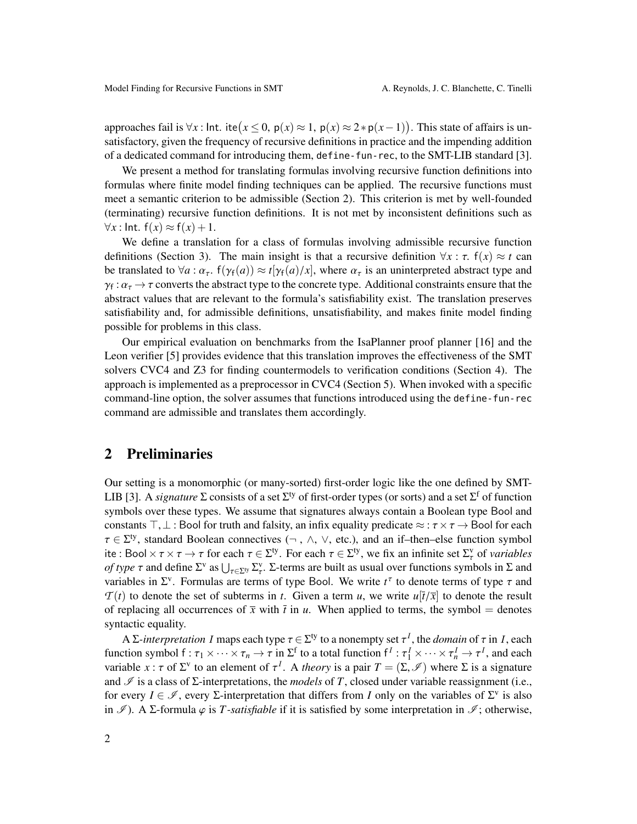approaches fail is  $\forall x$ : Int. ite $(x \le 0, p(x) \approx 1, p(x) \approx 2*p(x-1))$ . This state of affairs is un-<br>satisfactory given the frequency of requiring definitions in practice and the impeding addition satisfactory, given the frequency of recursive definitions in practice and the impending addition of a dedicated command for introducing them, define-fun-rec, to the SMT-LIB standard [\[3\]](#page-12-1).

We present a method for translating formulas involving recursive function definitions into formulas where finite model finding techniques can be applied. The recursive functions must meet a semantic criterion to be admissible (Section [2\)](#page-1-0). This criterion is met by well-founded (terminating) recursive function definitions. It is not met by inconsistent definitions such as  $∀x: Int. f(x) ≈ f(x) + 1.$ 

We define a translation for a class of formulas involving admissible recursive function definitions (Section [3\)](#page-3-0). The main insight is that a recursive definition  $\forall x : \tau$ .  $f(x) \approx t$  can be translated to  $\forall a : \alpha_{\tau}$ .  $f(\gamma_f(a)) \approx t[\gamma_f(a)/x]$ , where  $\alpha_{\tau}$  is an uninterpreted abstract type and  $\gamma_f : \alpha_\tau \to \tau$  converts the abstract type to the concrete type. Additional constraints ensure that the abstract values that are relevant to the formula's satisfiability exist. The translation preserves  $\gamma_f : \alpha_{\tau} \to \tau$  converts the abstract type to the concrete type. Additional constraints ensure that the satisfiability and, for admissible definitions, unsatisfiability, and makes finite model finding possible for problems in this class.

Our empirical evaluation on benchmarks from the IsaPlanner proof planner [\[16\]](#page-13-4) and the Leon verifier [\[5\]](#page-12-2) provides evidence that this translation improves the effectiveness of the SMT solvers CVC4 and Z3 for finding countermodels to verification conditions (Section [4\)](#page-8-0). The approach is implemented as a preprocessor in CVC4 (Section [5\)](#page-9-0). When invoked with a specific command-line option, the solver assumes that functions introduced using the define-fun-rec command are admissible and translates them accordingly.

# <span id="page-1-0"></span>2 Preliminaries

Our setting is a monomorphic (or many-sorted) first-order logic like the one defined by SMT-LIB [\[3\]](#page-12-1). A *signature*  $\Sigma$  consists of a set  $\Sigma^{ty}$  of first-order types (or sorts) and a set  $\Sigma^f$  of function symbols over these types. We assume that signatures always contain a Boolean type Bool and constants  $\top, \bot$ : Bool for truth and falsity, an infix equality predicate  $\approx : \tau \times \tau \rightarrow$  Bool for each  $\tau \in \Sigma^{ty}$ , standard Boolean connectives  $(\neg, \wedge, \vee,$  etc.), and an if-then-else function symbol<br>ite : Bool  $\tau \times \tau \to \tau$  for each  $\tau \in \Sigma^{ty}$ . For each  $\tau \in \Sigma^{ty}$  we fix an infinite set  $\Sigma^{y}$  of variables ite : Bool  $\times \tau \times \tau \to \tau$  for each  $\tau \in \Sigma^{\tau}$ . For each  $\tau \in \Sigma^{\tau}$ , we fix an infinite set  $\Sigma_{\tau}^{\tau}$  of *variables*<br>of *type*  $\tau$  and define  $\Sigma^{\tau}$  as  $\vdash \vdash_{\tau} \Sigma^{\tau}$ .  $\Sigma$ -terms are built as usual over funct *of type*  $\tau$  and define  $\Sigma^v$  as  $\bigcup_{\tau \in \Sigma^v} \Sigma^v_\tau$ .  $\Sigma$ -terms are built as usual over functions symbols in  $\Sigma$  and variables in  $\Sigma^v$ . Formulas are terms of type Rool. We write  $t^\tau$  to denote terms of type  $\tau$ variables in  $\Sigma^{\nu}$ . Formulas are terms of type Bool. We write  $t^{\tau}$  to denote terms of type  $\tau$  and  $\mathcal{T}(t)$  to denote the set of subterms in t. Given a term u, we write  $u^{\tau}$  is denote the result  $T(t)$  to denote the set of subterms in *t*. Given a term *u*, we write  $u[\bar{t}/\bar{x}]$  to denote the result of replacing all occurrences of  $\bar{x}$  with  $\bar{t}$  in *u*. When applied to terms, the symbol = denotes syntactic equality.

A Σ*-interpretation I* maps each type  $\tau \in \Sigma^{ty}$  to a nonempty set  $\tau^I$ , the *domain* of  $\tau$  in *I*, each tion symbol  $f : \tau \times \cdots \times \tau$  is  $\Sigma^f$  to a total function  $f^I : \tau^I \times \cdots \times \tau^I$  and each function symbol  $f : \tau_1 \times \cdots \times \tau_n \to \tau$  in  $\Sigma^f$  to a total function  $f^I : \tau_1^I \times \cdots \times \tau_n^I \to \tau^I$ , and each variable  $\chi : \tau$  of  $\Sigma^V$  to an element of  $\tau^I$ . A theory is a pair  $T = (\Sigma \emptyset)$  where  $\Sigma$  is a signature variable *x* :  $\tau$  of  $\Sigma^{\nu}$  to an element of  $\tau^{I}$ . A *theory* is a pair  $T = (\Sigma, \mathcal{I})$  where  $\Sigma$  is a signature and  $\mathcal{I}$  is a class of  $\Sigma$  interpretations, the models of  $T$  closed under variable reassignment and  $\mathcal I$  is a class of  $\Sigma$ -interpretations, the *models* of *T*, closed under variable reassignment (i.e., for every  $I \in \mathcal{I}$ , every  $\Sigma$ -interpretation that differs from *I* only on the variables of  $\Sigma^v$  is also in  $\mathscr{I}$ ). A  $\Sigma$ -formula  $\varphi$  is *T*-*satisfiable* if it is satisfied by some interpretation in  $\mathscr{I}$ ; otherwise,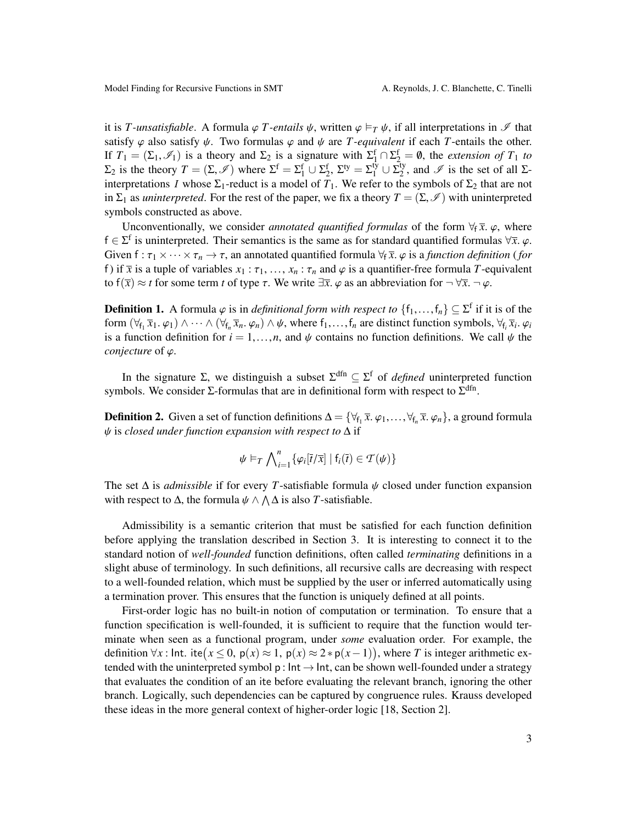it is *T*-unsatisfiable. A formula  $\varphi$  *T*-entails  $\psi$ , written  $\varphi \models_T \psi$ , if all interpretations in  $\mathscr I$  that satisfy  $\varphi$  also satisfy  $\psi$ . Two formulas  $\varphi$  and  $\psi$  are *T*-equivalent if each *T*-entails the other. If  $T_1 = (\Sigma_1, \mathcal{I}_1)$  is a theory and  $\Sigma_2$  is a signature with  $\Sigma_1^f \cap \Sigma_2^f = \emptyset$ , the *extension of*  $T_1$  *to*<br>  $\Sigma_2$  is the theory  $T - (\Sigma \emptyset)$  where  $\Sigma_1^f - \Sigma_1^f + (\Sigma_1^f - \Sigma_2^f) + (\Sigma_1^f - \Sigma_1^f)$  and  $\emptyset$  is the s  $\Sigma_2$  is the theory  $T = (\Sigma, \mathscr{I})$  where  $\Sigma^f = \Sigma_1^f \cup \Sigma_2^f$ ,  $\Sigma^{ty} = \Sigma_1^{ty} \cup \Sigma_2^{ty}$ <br>interpretations *L* whose  $\Sigma_1$ -reduct is a model of *T*. We refer to the  $2^{\nu}$ , and  $\mathscr{I}$  is the set of all  $\Sigma$ interpretations *I* whose  $\Sigma_1$ -reduct is a model of  $T_1$ . We refer to the symbols of  $\Sigma_2$  that are not in  $\Sigma_1$  as *uninterpreted*. For the rest of the paper, we fix a theory  $T = (\Sigma, \mathscr{I})$  with uninterpreted symbols constructed as above.

Unconventionally, we consider *annotated quantified formulas* of the form  $\forall_f \bar{x}, \varphi$ , where f ∈  $\Sigma$ <sup>f</sup> is uninterpreted. Their semantics is the same as for standard quantified formulas  $\forall \bar{x}, \varphi$ .<br>Given  $f : \tau \mapsto \forall x \mapsto \tau$ , an appointed quantified formula  $\forall \bar{x}, \varphi$  is a function definition (formula) Given  $f : \tau_1 \times \cdots \times \tau_n \to \tau$ , an annotated quantified formula  $\forall f \overline{x}$ .  $\varphi$  is a *function definition* (*for* f) if  $\bar{x}$  is a tuple of variables  $x_1 : \tau_1, \ldots, x_n : \tau_n$  and  $\varphi$  is a quantifier-free formula *T*-equivalent to  $f(\overline{x}) \approx t$  for some term *t* of type  $\tau$ . We write  $\exists \overline{x}$ .  $\varphi$  as an abbreviation for  $\neg \forall \overline{x}$ .  $\neg \varphi$ .

**Definition 1.** A formula  $\varphi$  is in *definitional form with respect to*  $\{f_1, \ldots, f_n\} \subseteq \Sigma^f$  if it is of the form  $(\forall \epsilon \ \overline{x}, \varphi) \wedge \psi$ , where fearly definition symbols  $\forall \epsilon \ \overline{x}, \varphi$ . form  $(\forall f_1, \overline{x}_1, \varphi_1) \wedge \cdots \wedge (\forall f_n, \overline{x}_n, \varphi_n) \wedge \psi$ , where  $f_1, \ldots, f_n$  are distinct function symbols,  $\forall f_i, \overline{x}_i, \varphi_i$ <br>is a function definition for  $i - 1$ , and  $\psi$  contains no function definitions. We call  $\psi$  is a function definition for  $i = 1, ..., n$ , and  $\psi$  contains no function definitions. We call  $\psi$  the *conjecture* of ϕ.

In the signature  $\Sigma$ , we distinguish a subset  $\Sigma^{\text{dfn}} \subseteq \Sigma^{\text{f}}$  of *defined* uninterpreted function symbols. We consider  $\Sigma$ -formulas that are in definitional form with respect to  $\Sigma^{\text{dfn}}$ .

**Definition 2.** Given a set of function definitions  $\Delta = {\forall f_1 \overline{x}, \varphi_1, ..., \forall f_n \overline{x}, \varphi_n}$ , a ground formula the closed under function expansion with respect to  $\Delta$  if ψ is *closed under function expansion with respect to* <sup>∆</sup> if

$$
\psi \vDash_T \bigwedge_{i=1}^n \{ \varphi_i[\overline{t}/\overline{x}] \mid f_i(\overline{t}) \in \mathcal{T}(\psi) \}
$$

The set <sup>∆</sup> is *admissible* if for every *<sup>T</sup>*-satisfiable formula ψ closed under function expansion with respect to  $\Delta$ , the formula  $\psi \wedge \Lambda \Delta$  is also *T*-satisfiable.

Admissibility is a semantic criterion that must be satisfied for each function definition before applying the translation described in Section [3.](#page-3-0) It is interesting to connect it to the standard notion of *well-founded* function definitions, often called *terminating* definitions in a slight abuse of terminology. In such definitions, all recursive calls are decreasing with respect to a well-founded relation, which must be supplied by the user or inferred automatically using a termination prover. This ensures that the function is uniquely defined at all points.

First-order logic has no built-in notion of computation or termination. To ensure that a function specification is well-founded, it is sufficient to require that the function would terminate when seen as a functional program, under *some* evaluation order. For example, the definition  $\forall x$ : Int. ite( $x \le 0$ ,  $p(x) \approx 1$ ,  $p(x) \approx 2 * p(x-1)$ ), where *T* is integer arithmetic ex-<br>tended with the uninterpreted symbol p; lpt. alpt. can be shown well founded under a strategy tended with the uninterpreted symbol p :  $Int \rightarrow Int$ , can be shown well-founded under a strategy that evaluates the condition of an ite before evaluating the relevant branch, ignoring the other branch. Logically, such dependencies can be captured by congruence rules. Krauss developed these ideas in the more general context of higher-order logic [\[18,](#page-13-5) Section 2].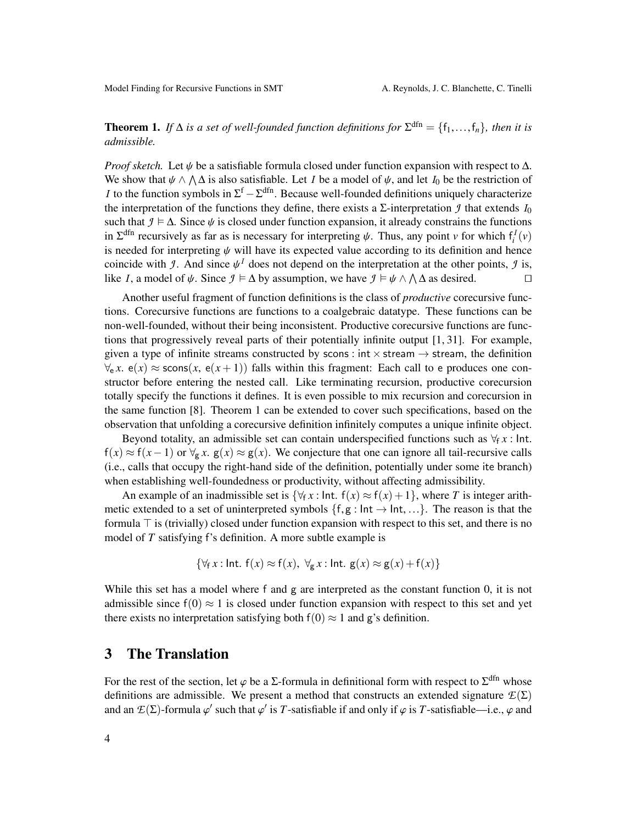<span id="page-3-1"></span>**Theorem 1.** If  $\Delta$  *is a set of well-founded function definitions for*  $\Sigma^{\text{dfn}} = \{f_1, \ldots, f_n\}$ *, then it is* admissible *admissible.*

*Proof sketch.* Let  $\psi$  be a satisfiable formula closed under function expansion with respect to  $\Delta$ . We show that  $\psi \wedge \wedge \Delta$  is also satisfiable. Let *I* be a model of  $\psi$ , and let *I*<sub>0</sub> be the restriction of *I* to the function symbols in  $\sum_{i=1}^{f} \mathcal{L}^{dfn}$ . Because well founded definitions uniqually characteriz *I* to the function symbols in  $\Sigma^f - \Sigma^{dfn}$ . Because well-founded definitions uniquely characterize the interpretation of the functions they define, there exists a  $\Sigma$ -interpretation *J* that extends  $I_0$ such that  $\mathcal{I} \models \Delta$ . Since  $\psi$  is closed under function expansion, it already constrains the functions in  $\Sigma^{\text{dfn}}$  recursively as far as is necessary for interpreting  $\psi$ . Thus, any point *v* for which  $f_i^I(v)$ <br>is needed for interpreting  $\psi$  will have its expected value according to its definition and hance is needed for interpreting  $\psi$  will have its expected value according to its definition and hence coincide with *J*. And since  $\psi^I$  does not depend on the interpretation at the other points, *J* is,<br>like *L* a model of  $\psi$ . Since  $I \models \Delta$  by assumption, we have  $I \models \psi \land \Delta A$  as desired like *I*, a model of  $\psi$ . Since  $\mathcal{I} \models \Delta$  by assumption, we have  $\mathcal{I} \models \psi \land \Lambda \Delta$  as desired.

Another useful fragment of function definitions is the class of *productive* corecursive functions. Corecursive functions are functions to a coalgebraic datatype. These functions can be non-well-founded, without their being inconsistent. Productive corecursive functions are functions that progressively reveal parts of their potentially infinite output  $[1, 31]$  $[1, 31]$ . For example, given a type of infinite streams constructed by scons : int  $\times$  stream  $\rightarrow$  stream, the definition  $\forall_{e}$  *x*.  $e(x) \approx$  scons(*x*,  $e(x+1)$ ) falls within this fragment: Each call to e produces one constructor before entering the nested call. Like terminating recursion, productive corecursion totally specify the functions it defines. It is even possible to mix recursion and corecursion in the same function [\[8\]](#page-12-4). Theorem [1](#page-3-1) can be extended to cover such specifications, based on the observation that unfolding a corecursive definition infinitely computes a unique infinite object.

Beyond totality, an admissible set can contain underspecified functions such as  $\forall$ f *x* : Int.  $f(x) \approx f(x-1)$  or  $\forall g \cdot x$ .  $g(x) \approx g(x)$ . We conjecture that one can ignore all tail-recursive calls (i.e., calls that occupy the right-hand side of the definition, potentially under some ite branch) when establishing well-foundedness or productivity, without affecting admissibility.

An example of an inadmissible set is  $\{\forall f \in \mathcal{X} : \text{Int. } f(x) \approx f(x) + 1\}$ , where *T* is integer arithmetic extended to a set of uninterpreted symbols  $\{f,g : \text{Int} \to \text{Int}, ...\}$ . The reason is that the formula  $\top$  is (trivially) closed under function expansion with respect to this set, and there is no model of *T* satisfying f's definition. A more subtle example is

$$
\{\forall_{f} x : \text{Int. } f(x) \approx f(x), \ \forall_{g} x : \text{Int. } g(x) \approx g(x) + f(x)\}\
$$

While this set has a model where f and g are interpreted as the constant function 0, it is not admissible since  $f(0) \approx 1$  is closed under function expansion with respect to this set and yet there exists no interpretation satisfying both  $f(0) \approx 1$  and g's definition.

# <span id="page-3-0"></span>3 The Translation

For the rest of the section, let  $\varphi$  be a  $\Sigma$ -formula in definitional form with respect to  $\Sigma^{\text{dfn}}$  whose definitions are admissible. We present a method that constructs an extended signature  $\mathcal{F}(\Sigma)$ definitions are admissible. We present a method that constructs an extended signature  $E(\Sigma)$ and an  $\mathcal{E}(\Sigma)$ -formula  $\varphi'$  such that  $\varphi'$  is *T*-satisfiable if and only if  $\varphi$  is *T*-satisfiable—i.e.,  $\varphi$  and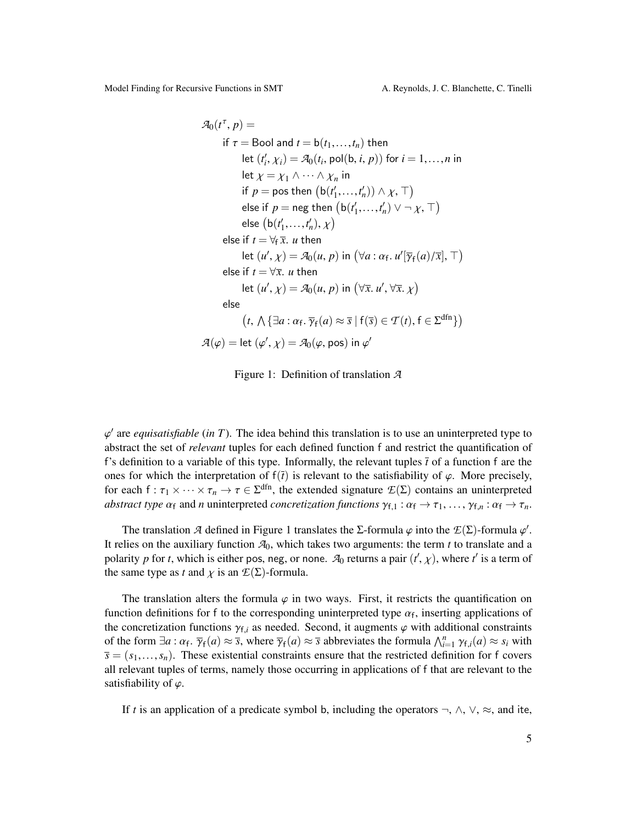Model Finding for Recursive Functions in SMT A. Reynolds, J. C. Blanchette, C. Tinelli

$$
\mathcal{A}_0(t^{\tau}, p) =
$$
  
\nif  $\tau$  = Bool and  $t = b(t_1, ..., t_n)$  then  
\nlet  $(t'_i, \chi_i) = \mathcal{A}_0(t_i, \text{pol}(b, i, p))$  for  $i = 1, ..., n$  in  
\nlet  $\chi = \chi_1 \land \cdots \land \chi_n$  in  
\nif  $p = \text{pos}$  then  $(b(t'_1, ..., t'_n)) \land \chi, \top$ )  
\nelse if  $p = \text{neg}$  then  $(b(t'_1, ..., t'_n) \lor \neg \chi, \top)$   
\nelse  $(b(t'_1, ..., t'_n), \chi)$   
\nelse if  $t = \forall_f \overline{x}$ . *u* then  
\nlet  $(u', \chi) = \mathcal{A}_0(u, p)$  in  $(\forall a : \alpha_f. u'[\overline{\gamma}_f(a)/\overline{x}], \top)$   
\nelse if  $t = \forall \overline{x}$ . *u* then  
\nlet  $(u', \chi) = \mathcal{A}_0(u, p)$  in  $(\forall \overline{x}, u', \forall \overline{x}, \chi)$   
\nelse  
\n $(t, \Lambda \{\exists a : \alpha_f, \overline{\gamma}_f(a) \approx \overline{s} \mid f(\overline{s}) \in \mathcal{T}(t), f \in \Sigma^{dfn}\})$   
\n $\mathcal{A}(\varphi) = \text{let } (\varphi', \chi) = \mathcal{A}_0(\varphi, \text{pos})$  in  $\varphi'$ 

<span id="page-4-0"></span>Figure 1: Definition of translation *A*

ϕ abstract the set of *relevant* tuples for each defined function f and restrict the quantification of  $\alpha'$  are *equisatisfiable* (*in*  $T$ ). The idea behind this translation is to use an uninterpreted type to f's definition to a variable of this type. Informally, the relevant tuples  $\bar{t}$  of a function f are the ones for which the interpretation of  $f(\bar{t})$  is relevant to the satisfiability of  $\varphi$ . More precisely, for each  $f : \tau_1 \times \cdots \times \tau_n \to \tau \in \Sigma^{dfn}$ , the extended signature  $\mathcal{L}(\Sigma)$  contains an uninterpreted *abstract type*  $\alpha_s$  and *n* uninterpreted *concretization functions*  $\alpha_s \to \tau$ ,  $\alpha_s \to \tau$ *abstract type*  $\alpha_f$  and *n* uninterpreted *concretization functions*  $\gamma_{f,1}$  :  $\alpha_f \to \tau_1$ , ...,  $\gamma_{f,n}$  :  $\alpha_f \to \tau_n$ .

The translation *A* defined in Figure [1](#page-4-0) translates the Σ-formula  $\varphi$  into the  $E(\Sigma)$ -formula  $\varphi'$ . It relies on the auxiliary function  $\mathcal{A}_0$ , which takes two arguments: the term *t* to translate and a polarity *p* for *t*, which is either pos, neg, or none.  $\mathcal{A}_0$  returns a pair  $(t', \chi)$ , where *t*<sup>*'*</sup> is a term of the same type as *t* and  $\chi$  is an  $\mathcal{E}(\Sigma)$ -formula.

The translation alters the formula  $\varphi$  in two ways. First, it restricts the quantification on function definitions for f to the corresponding uninterpreted type  $\alpha_f$ , inserting applications of<br>the concretization functions  $\alpha_f$  as needed. Second, it augments  $\alpha$  with additional constraints the concretization functions  $\gamma_{f,i}$  as needed. Second, it augments  $\varphi$  with additional constraints of the form  $\exists a : \alpha_f$ ,  $\overline{\gamma}_f(a) \approx \overline{s}$ , where  $\overline{\gamma}_f(a) \approx \overline{s}$  abbreviates the formula  $\bigwedge_{i=1}^n \gamma_{f,i}(a) \approx s_i$  with  $\overline{s} = (s_i, s_j)$ . These existential constraints ensure that the restricted definition for f covers . γ<sup>f</sup>  $\overline{s} = (s_1, \ldots, s_n)$ . These existential constraints ensure that the restricted definition for f covers all relevant turbles of terms, namely those occurring in applications of f that are relevant to the all relevant tuples of terms, namely those occurring in applications of f that are relevant to the satisfiability of  $\varphi$ .

If *t* is an application of a predicate symbol b, including the operators  $\neg$ ,  $\wedge$ ,  $\vee$ ,  $\approx$ , and ite,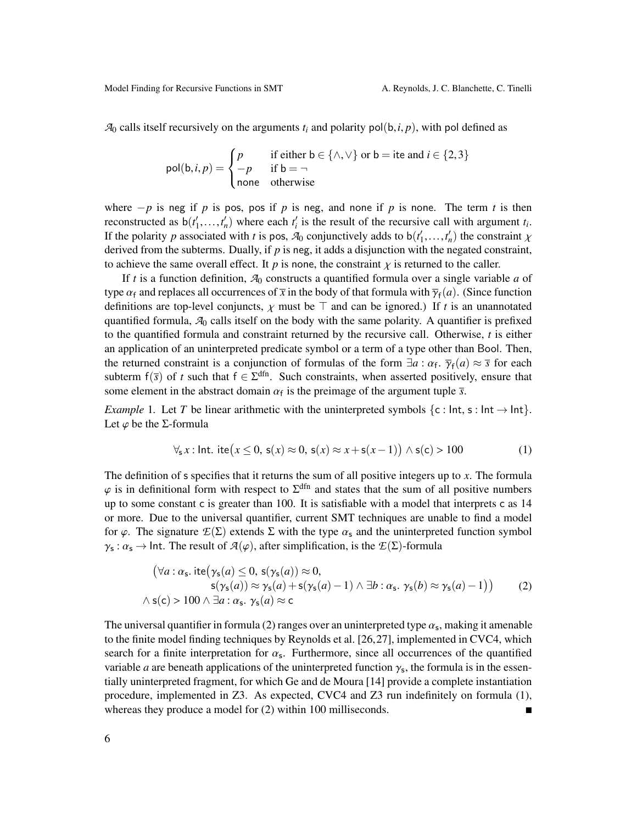$A_0$  calls itself recursively on the arguments  $t_i$  and polarity pol(b, *i*, *p*), with pol defined as

$$
pol(b, i, p) = \begin{cases} p & \text{if either } b \in \{\land, \lor\} \text{ or } b = \text{ite and } i \in \{2, 3\} \\ -p & \text{if } b = \neg \\ \text{none} & \text{otherwise} \end{cases}
$$

where  $-p$  is neg if *p* is pos, pos if *p* is neg, and none if *p* is none. The term *t* is then reconstructed as  $b(t'_1, \ldots, t'_n)$  where each  $t'_i$  is the result of the recursive call with argument  $t_i$ .<br>If the polarity a associated with *t* is nos- $\mathcal{R}_i$  conjunctively adds to  $b(t'_i, t'_i)$  the constraint *v* If the polarity *p* associated with *t* is pos,  $A_0$  conjunctively adds to  $b(t'_1,...,t'_n)$  the constraint  $\chi$ <br>derived from the subterms. Dually, if *n* is neg, it adds a disjunction with the negated constraint. derived from the subterms. Dually, if  $p$  is neg, it adds a disjunction with the negated constraint, to achieve the same overall effect. It  $p$  is none, the constraint  $\chi$  is returned to the caller.

If *t* is a function definition, *A*<sup>0</sup> constructs a quantified formula over a single variable *a* of type  $\alpha_f$  and replaces all occurrences of  $\bar{x}$  in the body of that formula with  $\bar{\gamma}_f(a)$ . (Since function definitions are top layel conjuncts,  $\gamma$  must be  $\bar{\gamma}$  and can be ignored). If t is an unannotated definitions are top-level conjuncts,  $\chi$  must be  $\top$  and can be ignored.) If *t* is an unannotated quantified formula, *A*<sup>0</sup> calls itself on the body with the same polarity. A quantifier is prefixed to the quantified formula and constraint returned by the recursive call. Otherwise, *t* is either an application of an uninterpreted predicate symbol or a term of a type other than Bool. Then, the returned constraint is a conjunction of formulas of the form  $\exists a : \alpha_f$ ,  $\overline{\gamma}_f(a) \approx \overline{s}$  for each subterm  $f(\overline{s})$  of t such that  $f \in \overline{S}^{dfn}$ . Such constraints, when asserted positively ensure that where the subterm f(*s*) of *t* such that  $f \in \Sigma^{dfn}$ . Such constraints, when asserted positively, ensure that some element in the abstract domain  $\alpha_f$  is the preimage of the argument tuple  $\bar{s}$ .

<span id="page-5-2"></span>*Example* 1. Let *T* be linear arithmetic with the uninterpreted symbols  $\{c : \text{Int}, s : \text{Int} \to \text{Int}\}.$ Let  $\varphi$  be the *Σ*-formula

<span id="page-5-1"></span>
$$
\forall_{s} x : \text{Int.} \text{ite}(x \leq 0, \, \mathsf{s}(x) \approx 0, \, \mathsf{s}(x) \approx x + \mathsf{s}(x - 1)) \land \mathsf{s}(\mathsf{c}) > 100 \tag{1}
$$

The definition of s specifies that it returns the sum of all positive integers up to *x*. The formula  $\varphi$  is in definitional form with respect to  $\Sigma^{\text{dfn}}$  and states that the sum of all positive numbers up to some constant  $\epsilon$  is greater than 100. It is satisfiable with a model that interprets  $\epsilon$  as 14 up to some constant c is greater than 100. It is satisfiable with a model that interprets c as 14 or more. Due to the universal quantifier, current SMT techniques are unable to find a model for  $\varphi$ . The signature  $\mathcal{E}(\Sigma)$  extends  $\Sigma$  with the type  $\alpha_s$  and the uninterpreted function symbol  $\gamma_s : \alpha_s \to \text{Int.}$  The result of  $\mathcal{A}(\varphi)$ , after simplification, is the  $\mathcal{E}(\Sigma)$ -formula

<span id="page-5-0"></span>
$$
(\forall a: \alpha_{s}. \text{ite}(\gamma_{s}(a) \leq 0, s(\gamma_{s}(a)) \approx 0,s(\gamma_{s}(a)) \approx \gamma_{s}(a) + s(\gamma_{s}(a) - 1) \land \exists b: \alpha_{s}. \gamma_{s}(b) \approx \gamma_{s}(a) - 1))
$$
(2)  

$$
\land s(c) > 100 \land \exists a: \alpha_{s}. \gamma_{s}(a) \approx c
$$

The universal quantifier in formula [\(2\)](#page-5-0) ranges over an uninterpreted type  $\alpha_s$ , making it amenable<br>to the finite model finding techniques by Peynolds et al. [26, 27], implemented in CVC4, which to the finite model finding techniques by Reynolds et al. [\[26,](#page-13-2)[27\]](#page-13-3), implemented in CVC4, which search for a finite interpretation for  $\alpha_s$ . Furthermore, since all occurrences of the quantified<br>variable *a* are beneath applications of the uninterpreted function  $\alpha$ , the formula is in the essen variable *a* are beneath applications of the uninterpreted function  $\gamma_s$ , the formula is in the essentially uninterpreted fragment, for which Ge and de Moura [14] provide a complete instantiation tially uninterpreted fragment, for which Ge and de Moura [\[14\]](#page-13-1) provide a complete instantiation procedure, implemented in Z3. As expected, CVC4 and Z3 run indefinitely on formula [\(1\)](#page-5-1), whereas they produce a model for [\(2\)](#page-5-0) within 100 milliseconds.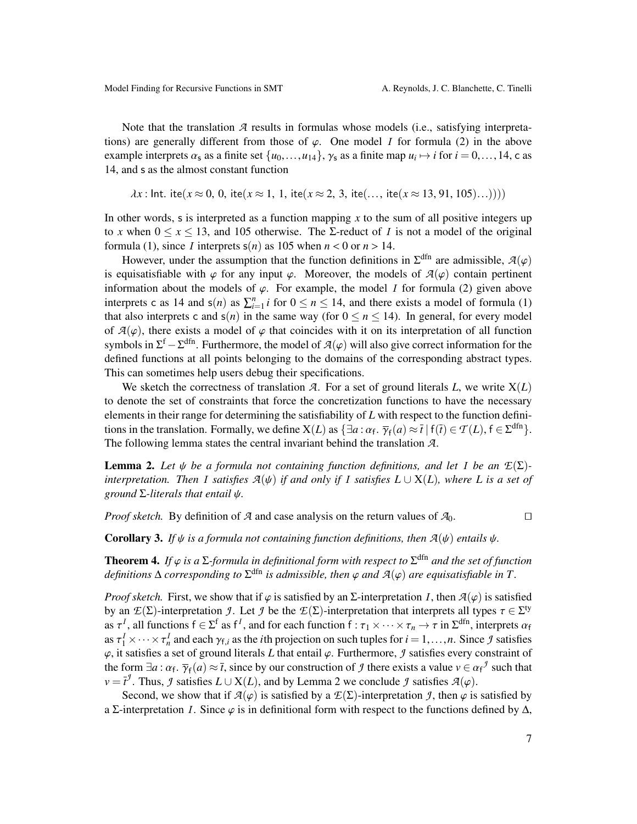Note that the translation *A* results in formulas whose models (i.e., satisfying interpretations) are generally different from those of  $\varphi$ . One model *I* for formula [\(2\)](#page-5-0) in the above example interprets  $\alpha_s$  as a finite set  $\{u_0, \ldots, u_{14}\}$ ,  $\gamma_s$  as a finite map  $u_i \mapsto i$  for  $i = 0, \ldots, 14$ , c as <br>14, and s as the almost constant function 14, and s as the almost constant function

$$
\lambda x
$$
: Int. ite( $x \approx 0, 0$ , ite( $x \approx 1, 1$ , ite( $x \approx 2, 3$ , ite(..., ite( $x \approx 13, 91, 105$ )...))))

In other words, s is interpreted as a function mapping  $x$  to the sum of all positive integers up to x when  $0 \le x \le 13$ , and 105 otherwise. The  $\Sigma$ -reduct of I is not a model of the original formula [\(1\)](#page-5-1), since *I* interprets  $s(n)$  as 105 when  $n < 0$  or  $n > 14$ .

However, under the assumption that the function definitions in  $\Sigma^{\text{dfn}}$  are admissible,  $\mathcal{A}(\varphi)$  contain pertinent is equisatisfiable with  $\varphi$  for any input  $\varphi$ . Moreover, the models of  $\mathcal{A}(\varphi)$  contain pertinent information about the models of  $\varphi$ . For example, the model *I* for formula [\(2\)](#page-5-0) given above interprets c as 14 and  $s(n)$  as  $\sum_{i=1}^{n} i$  for  $0 \le n \le 14$ , and there exists a model of formula [\(1\)](#page-5-1) that also interprets c and  $s(n)$  in the same way (for  $0 \le n \le 14$ ). In general, for every model of  $A(\varphi)$ , there exists a model of  $\varphi$  that coincides with it on its interpretation of all function symbols in  $\Sigma^f - \Sigma^{dfn}$ . Furthermore, the model of  $\mathcal{A}(\varphi)$  will also give correct information for the defined functions at all points belonging to the domains of the corresponding abstract types. defined functions at all points belonging to the domains of the corresponding abstract types. This can sometimes help users debug their specifications.

We sketch the correctness of translation *A*. For a set of ground literals *L*, we write  $X(L)$ to denote the set of constraints that force the concretization functions to have the necessary elements in their range for determining the satisfiability of *L* with respect to the function definitions in the translation. Formally, we define  $X(L)$  as  $\{\exists a : \alpha_f : \overline{\gamma}_f(a) \approx \overline{t} \mid f(\overline{t}) \in \mathcal{T}(L), f \in \Sigma^{dfn}\}.$ <br>The following lemma states the central invariant behind the translation  $\mathcal{I}$ The following lemma states the central invariant behind the translation  $\mathcal{A}$ .<br>The following lemma states the central invariant behind the translation  $\mathcal{A}$ .

<span id="page-6-0"></span>**Lemma 2.** Let  $\psi$  be a formula not containing function definitions, and let *I* be an  $E(\Sigma)$ *interpretation. Then I satisfies*  $\mathcal{A}(\psi)$  *if and only if I satisfies*  $L \cup X(L)$ *, where*  $L$  *is a set of ground* <sup>Σ</sup>*-literals that entail* ψ*.*

*Proof sketch.* By definition of *A* and case analysis on the return values of  $A_0$ .

<span id="page-6-1"></span>**Corollary 3.** *If*  $\psi$  *is a formula not containing function definitions, then*  $\mathcal{A}(\psi)$  *entails*  $\psi$ *.* 

<span id="page-6-2"></span>**Theorem 4.** If  $\varphi$  is a  $\Sigma$ -formula in definitional form with respect to  $\Sigma^{\text{dfn}}$  and the set of function definitions  $\Lambda$  corresponding to  $\Sigma^{\text{dfn}}$  is admissible, then  $\varphi$  and  $\mathcal{A}(\varphi)$  are equisatisfiable  $definitions \Delta$  *corresponding to*  $\Sigma^{\text{dfn}}$  *is admissible, then*  $\varphi$  *and*  $\mathcal{A}(\varphi)$  *are equisatisfiable in*  $T$ .

*Proof sketch.* First, we show that if  $\varphi$  is satisfied by an  $\Sigma$ -interpretation *I*, then  $\mathcal{A}(\varphi)$  is satisfied by an  $E(\Sigma)$ -interpretation *J*. Let *J* be the  $E(\Sigma)$ -interpretation that interprets all types  $\tau \in \Sigma^{ty}$ <br>as  $\tau^I$  all functions  $f \in \Sigma^{f}$  as  $f^I$  and for each function  $f : \tau \times \cdots \times \tau \to \tau$  in  $\Sigma^{dfn}$  interprets  $\alpha \$ as  $\tau^I$ , all functions  $f \in \Sigma^f$  as  $f^I$ , and for each function  $f : \tau_1 \times \cdots \times \tau_n \to \tau$  in  $\Sigma^{dfn}$ , interprets  $\alpha_f$ <br>as  $\tau^I \times \cdots \times \tau^I$  and each  $\alpha_f$  as the *i*<sup>th</sup> projection on such tuples for  $i = 1, \ldots, n$ . Since as  $\tau_1^I \times \cdots \times \tau_n^I$  and each  $\gamma_{f,i}$  as the *i*<sup>th</sup> projection on such tuples for  $i = 1, \ldots, n$ . Since *J* satisfies a set of ground literals *I*, that entail  $\alpha$ . Eurthermore, *J* satisfies avery constraint of  $\varphi$ , it satisfies a set of ground literals *L* that entail  $\varphi$ . Furthermore, *J* satisfies every constraint of the form  $\exists a : \alpha_f : \overline{\gamma}_f(a) \approx \overline{t}$ , since by our construction of *J* there exists a value  $v \in \alpha_f^J$  such that  $v = \overline{t}^J$ . Thus, *J* satisfies  $I \cup X(I)$  and by J emma 2 we conclude *J* satisfies  $\mathcal{I}(a)$ . the form  $\exists a$ . *α*<sub>f</sub>.  $\gamma_f(a) \approx t$ , since by our construction of *J* there exists a value *v* ∈ *a*<br>*v* =  $\bar{t}^f$ . Thus, *J* satisfies *L* ∪ X(*L*), and by Lemma [2](#page-6-0) we conclude *J* satisfies *A*( $\varphi$ ).<br>Second, we show

Second, we show that if  $\mathcal{A}(\varphi)$  is satisfied by a  $\mathcal{I}(\Sigma)$ -interpretation *J*, then  $\varphi$  is satisfied by a Σ-interpretation *I*. Since  $\varphi$  is in definitional form with respect to the functions defined by  $\Delta$ ,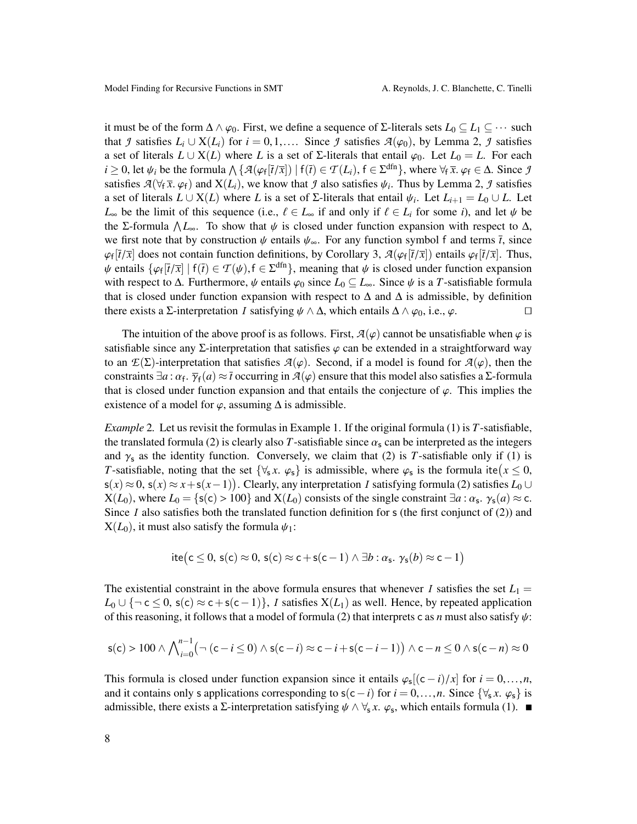it must be of the form  $\Delta \wedge \varphi_0$ . First, we define a sequence of Σ-literals sets  $L_0 \subseteq L_1 \subseteq \cdots$  such that *J* satisfies  $L_i \cup X(L_i)$  for  $i = 0, 1, \ldots$  Since *J* satisfies  $A(\varphi_0)$ , by Lemma [2,](#page-6-0) *J* satisfies a set of literals  $L \cup X(L)$  where *L* is a set of  $\Sigma$ -literals that entail  $\varphi_0$ . Let  $L_0 = L$ . For each  $i \geq 0$ , let  $\psi_i$  be the formula  $\Lambda \{ \mathcal{A}(\varphi_f[\vec{t}/\vec{x}]) \mid f(\vec{t}) \in \mathcal{T}(L_i), f \in \Sigma^{\text{dfn}} \}$ , where  $\forall f \overline{x}, \varphi_f \in \Delta$ . Since *J*<br>satisfies  $\mathcal{A}(\forall \forall x, \varphi_1)$  and  $\mathbf{X}(L_i)$ , we know that *I* also satisfies  $\psi_i$ . Thu satisfies  $\mathcal{A}(\forall_f \bar{x}, \varphi_f)$  and  $X(L_i)$ , we know that *J* also satisfies  $\psi_i$ . Thus by Lemma [2,](#page-6-0) *J* satisfies a set of literals that antil  $\psi_i$ . Let  $L_{\mathcal{A}} = L_0 \cup L$ , Let a set of literals  $L \cup X(L)$  where *L* is a set of  $\Sigma$ -literals that entail  $\psi_i$ . Let  $L_{i+1} = L_0 \cup L$ . Let  $L_i$  be the limit of this sequence *(i.e.*  $\ell \in L$  if and only if  $\ell \in L$  for some *i*) and let  $\ell$  be  $L_{\infty}$  be the limit of this sequence (i.e.,  $\ell \in L_{\infty}$  if and only if  $\ell \in L_i$  for some *i*), and let  $\psi$  be the Σ-formula  $\Lambda L_{\infty}$ . To show that  $\psi$  is closed under function expansion with respect to  $\Delta$ , we first note that by construction  $\psi$  entails  $\psi$ . For any function symbol f and terms  $\bar{t}$  since we first note that by construction  $\psi$  entails  $\psi_{\infty}$ . For any function symbol f and terms  $\bar{t}$ , since ዎf<br>ህሪ  $[\bar{t}/\bar{x}]$  does not contain function definitions, by Corollary [3,](#page-6-1)  $\mathcal{A}(\varphi_f[\bar{t}/\bar{x}])$  entails  $\varphi_f[\bar{t}/\bar{x}]$ . Thus, entails  $f(\varphi_f[\bar{t}/\bar{x}]) \in \mathcal{T}(\psi)$   $f \in \mathcal{S}^{\text{dfn}}$ , meaning that  $\psi$  is closed under function e  $\psi$  entails  $\{\varphi_f[\vec{t}/\vec{x}] \mid f(\vec{t}) \in \mathcal{T}(\psi), f \in \Sigma^{\text{dfn}}\}$ , meaning that  $\psi$  is closed under function expansion with respect to  $\Lambda$ . Furthermore,  $\psi$  entails  $\varphi_0$  since  $I_0 \subset I$ . Since  $\psi$  is a *T*-satisfiable f with respect to  $\Delta$ . Furthermore,  $\psi$  entails  $\varphi_0$  since  $L_0 \subseteq L_{\infty}$ . Since  $\psi$  is a *T*-satisfiable formula that is closed under function expansion with respect to  $\Delta$  and  $\Delta$  is admissible, by definition there exists a  $\Sigma$ -interpretation *I* satisfying  $\psi \wedge \Delta$ , which entails  $\Delta \wedge \varphi_0$ , i.e.,  $\varphi$ .

The intuition of the above proof is as follows. First,  $A(\varphi)$  cannot be unsatisfiable when  $\varphi$  is satisfiable since any  $\Sigma$ -interpretation that satisfies  $\varphi$  can be extended in a straightforward way to an  $\mathcal{E}(\Sigma)$ -interpretation that satisfies  $\mathcal{A}(\varphi)$ . Second, if a model is found for  $\mathcal{A}(\varphi)$ , then the constraints  $\exists a : \alpha_f$ .  $\overline{\gamma}_f(a) \approx \overline{t}$  occurring in  $\mathcal{A}(\varphi)$  ensure that this model also satisfies a  $\Sigma$ -formular that is closed under function expansion and that entails the conjecture of  $\alpha$ . This implies the . γf that is closed under function expansion and that entails the conjecture of  $\varphi$ . This implies the existence of a model for  $\varphi$  assuming  $\Lambda$  is admissible. existence of a model for  $\varphi$ , assuming  $\Delta$  is admissible.

*Example* 2*.* Let us revisit the formulas in Example [1.](#page-5-2) If the original formula [\(1\)](#page-5-1) is *T*-satisfiable, the translated formula [\(2\)](#page-5-0) is clearly also *T*-satisfiable since  $\alpha_s$  can be interpreted as the integers and  $\gamma_s$  as the identity function. Conversely, we claim that [\(2\)](#page-5-0) is *T*-satisfiable only if [\(1\)](#page-5-1) is *T*-satisfiable, noting that the set  $\{\forall_s x. \varphi_s\}$  is admissible, where  $\varphi_s$  is the formula ite $(x \le 0, \varsigma(x) \approx 0, \varsigma(x) \approx x + \varsigma(x-1)$ . Clearly any interpretation *L* satisfying formula (2) satisfies *L*<sub>ath</sub>  $s(x) \approx 0$ ,  $s(x) \approx x + s(x-1)$ ). Clearly, any interpretation *I* satisfying formula [\(2\)](#page-5-0) satisfies  $L_0 \cup$ <br> $\mathbf{Y}(L_0)$ , where  $L_0 = f(s(x) > 100$  and  $\mathbf{Y}(L_0)$  consists of the single constraint  $\exists a : \alpha \in \mathcal{X}(a) \approx \alpha$  $X(L_0)$ , where  $L_0 = \{s(c) > 100\}$  and  $X(L_0)$  consists of the single constraint  $\exists a : \alpha_s$ ,  $\gamma_s(a) \approx c$ .<br>Since *L* also satisfies both the translated function definition for *s* (the first conjunct of (2)) and Since *I* also satisfies both the translated function definition for  $s$  (the first conjunct of [\(2\)](#page-5-0)) and  $X(L_0)$ , it must also satisfy the formula  $\psi_1$ :

$$
ite(c \leq 0, s(c) \approx 0, s(c) \approx c + s(c - 1) \land \exists b : \alpha_s, \gamma_s(b) \approx c - 1)
$$

The existential constraint in the above formula ensures that whenever *I* satisfies the set  $L_1 =$  $L_0 \cup \{\neg \text{c} \leq 0, \text{s}(\text{c}) \approx \text{c} + \text{s}(\text{c}-1)\},$  *I* satisfies  $X(L_1)$  as well. Hence, by repeated application of this reasoning, it follows that a model of formula [\(2\)](#page-5-0) that interprets c as *n* must also satisfy  $\psi$ :

$$
s(c) > 100 \wedge \bigwedge_{i=0}^{n-1} \left( \neg (c - i \le 0) \wedge s(c - i) \approx c - i + s(c - i - 1) \right) \wedge c - n \le 0 \wedge s(c - n) \approx 0
$$

This formula is closed under function expansion since it entails  $\varphi_s[(c-i)/x]$  for  $i = 0, ..., n$ ,<br>and it contains only a applications corresponding to  $s(c-i)$  for  $i = 0, ..., n$ . Since  $\int \forall x, c_0$ , is and it contains only s applications corresponding to  $s(c-i)$  for  $i = 0, ..., n$ . Since  $\{\forall_s x, \varphi_s\}$  is admissible, there exists a  $\Sigma$ -interpretation satisfying  $\psi \wedge \forall_s x$ .  $\varphi_s$ , which entails formula [\(1\)](#page-5-1).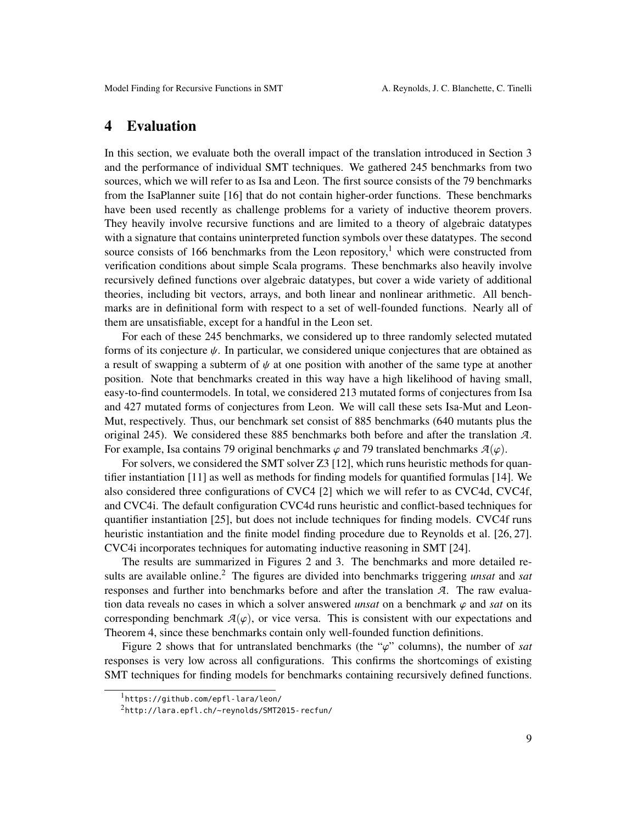# <span id="page-8-0"></span>4 Evaluation

In this section, we evaluate both the overall impact of the translation introduced in Section [3](#page-3-0) and the performance of individual SMT techniques. We gathered 245 benchmarks from two sources, which we will refer to as Isa and Leon. The first source consists of the 79 benchmarks from the IsaPlanner suite [\[16\]](#page-13-4) that do not contain higher-order functions. These benchmarks have been used recently as challenge problems for a variety of inductive theorem provers. They heavily involve recursive functions and are limited to a theory of algebraic datatypes with a signature that contains uninterpreted function symbols over these datatypes. The second source consists of [1](#page-8-1)66 benchmarks from the Leon repository,<sup>1</sup> which were constructed from verification conditions about simple Scala programs. These benchmarks also heavily involve recursively defined functions over algebraic datatypes, but cover a wide variety of additional theories, including bit vectors, arrays, and both linear and nonlinear arithmetic. All benchmarks are in definitional form with respect to a set of well-founded functions. Nearly all of them are unsatisfiable, except for a handful in the Leon set.

For each of these 245 benchmarks, we considered up to three randomly selected mutated forms of its conjecture  $\psi$ . In particular, we considered unique conjectures that are obtained as a result of swapping a subterm of  $\psi$  at one position with another of the same type at another position. Note that benchmarks created in this way have a high likelihood of having small, easy-to-find countermodels. In total, we considered 213 mutated forms of conjectures from Isa and 427 mutated forms of conjectures from Leon. We will call these sets Isa-Mut and Leon-Mut, respectively. Thus, our benchmark set consist of 885 benchmarks (640 mutants plus the original 245). We considered these 885 benchmarks both before and after the translation *A*. For example, Isa contains 79 original benchmarks  $\varphi$  and 79 translated benchmarks  $\mathcal{A}(\varphi)$ .

For solvers, we considered the SMT solver Z3 [\[12\]](#page-13-7), which runs heuristic methods for quantifier instantiation [\[11\]](#page-12-0) as well as methods for finding models for quantified formulas [\[14\]](#page-13-1). We also considered three configurations of CVC4 [\[2\]](#page-12-5) which we will refer to as CVC4d, CVC4f, and CVC4i. The default configuration CVC4d runs heuristic and conflict-based techniques for quantifier instantiation [\[25\]](#page-13-0), but does not include techniques for finding models. CVC4f runs heuristic instantiation and the finite model finding procedure due to Reynolds et al. [\[26,](#page-13-2) [27\]](#page-13-3). CVC4i incorporates techniques for automating inductive reasoning in SMT [\[24\]](#page-13-8).

The results are summarized in Figures [2](#page-9-1) and [3.](#page-9-2) The benchmarks and more detailed results are available online.[2](#page-8-2) The figures are divided into benchmarks triggering *unsat* and *sat* responses and further into benchmarks before and after the translation *A*. The raw evaluation data reveals no cases in which a solver answered *unsat* on a benchmark  $\varphi$  and *sat* on its corresponding benchmark  $A(\varphi)$ , or vice versa. This is consistent with our expectations and Theorem [4,](#page-6-2) since these benchmarks contain only well-founded function definitions.

Figure [2](#page-9-1) shows that for untranslated benchmarks (the " $\varphi$ " columns), the number of *sat* responses is very low across all configurations. This confirms the shortcomings of existing SMT techniques for finding models for benchmarks containing recursively defined functions.

<span id="page-8-1"></span><sup>1</sup><https://github.com/epfl-lara/leon/>

<span id="page-8-2"></span><sup>2</sup><http://lara.epfl.ch/~reynolds/SMT2015-recfun/>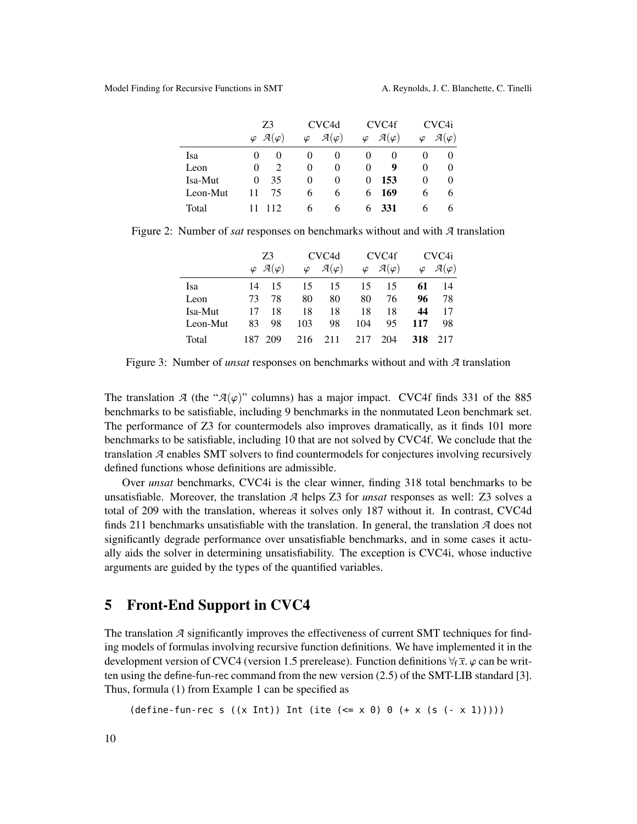|          | Z3                                      | CVC <sub>4</sub> d                  | CVC <sub>4f</sub>                   | CVC <sub>4i</sub>                   |  |
|----------|-----------------------------------------|-------------------------------------|-------------------------------------|-------------------------------------|--|
|          | $\varphi \mathcal{A}(\varphi)$          | $\mathcal{A}(\varphi)$<br>$\varphi$ | $\mathcal{A}(\varphi)$<br>$\varphi$ | $\mathcal{A}(\varphi)$<br>$\varphi$ |  |
| Isa      | $\mathbf{0}$                            | $\theta$<br>$\theta$                | $_{0}$<br>O                         | $\theta$<br>O                       |  |
| Leon     | $\mathcal{D}_{\mathcal{A}}$<br>$\Omega$ | $\Omega$<br>$\theta$                | 9<br>$\theta$                       | $\theta$<br>$\theta$                |  |
| Isa-Mut  | 35<br>$\Omega$                          | $\theta$<br>$\theta$                | 153<br>0                            | $\theta$<br>$\theta$                |  |
| Leon-Mut | 75<br>11                                | 6<br>6                              | 169<br>6                            | 6<br><sub>(</sub>                   |  |
| Total    | 112                                     | h<br>h                              | -331<br>- 6                         | h<br>h                              |  |

Figure 2: Number of *sat* responses on benchmarks without and with *A* translation

<span id="page-9-1"></span>

|          | Z3   |                                  | CVC <sub>4</sub> d |                        | CVC <sub>4f</sub> | CVC4i                  |           |                        |
|----------|------|----------------------------------|--------------------|------------------------|-------------------|------------------------|-----------|------------------------|
|          |      | $\varphi$ $\mathcal{A}(\varphi)$ | $\varphi$          | $\mathcal{A}(\varphi)$ | $\varphi$         | $\mathcal{A}(\varphi)$ | $\varphi$ | $\mathcal{A}(\varphi)$ |
| Isa      | 14   | 15                               | 15                 | 15                     | 15                | 15                     | 61        | 14                     |
| Leon     | 73   | 78                               | 80                 | 80                     | 80                | 76                     | 96        | 78                     |
| Isa-Mut  | 17   | 18                               | 18                 | 18                     | 18                | 18                     | 44        | 17                     |
| Leon-Mut | 83   | 98                               | 103                | 98                     | 104               | 95                     | 117       | 98                     |
| Total    | 187. | 209                              | 216                | 211                    | 217               | 204                    | 318       | 217                    |

<span id="page-9-2"></span>Figure 3: Number of *unsat* responses on benchmarks without and with *A* translation

The translation *A* (the " $A(\varphi)$ " columns) has a major impact. CVC4f finds 331 of the 885 benchmarks to be satisfiable, including 9 benchmarks in the nonmutated Leon benchmark set. The performance of Z3 for countermodels also improves dramatically, as it finds 101 more benchmarks to be satisfiable, including 10 that are not solved by CVC4f. We conclude that the translation *A* enables SMT solvers to find countermodels for conjectures involving recursively defined functions whose definitions are admissible.

Over *unsat* benchmarks, CVC4i is the clear winner, finding 318 total benchmarks to be unsatisfiable. Moreover, the translation *A* helps Z3 for *unsat* responses as well: Z3 solves a total of 209 with the translation, whereas it solves only 187 without it. In contrast, CVC4d finds 211 benchmarks unsatisfiable with the translation. In general, the translation *A* does not significantly degrade performance over unsatisfiable benchmarks, and in some cases it actually aids the solver in determining unsatisfiability. The exception is CVC4i, whose inductive arguments are guided by the types of the quantified variables.

# <span id="page-9-0"></span>5 Front-End Support in CVC4

The translation *A* significantly improves the effectiveness of current SMT techniques for finding models of formulas involving recursive function definitions. We have implemented it in the development version of CVC4 (version 1.5 prerelease). Function definitions  $\forall_{f} \bar{x}$ .  $\varphi$  can be written using the define-fun-rec command from the new version (2.5) of the SMT-LIB standard [\[3\]](#page-12-1). Thus, formula [\(1\)](#page-5-1) from Example [1](#page-5-2) can be specified as

 $(detine-fun-rec s ((x Int)) Int (ite (<= x 0) 0 (+ x (s (- x 1))))))$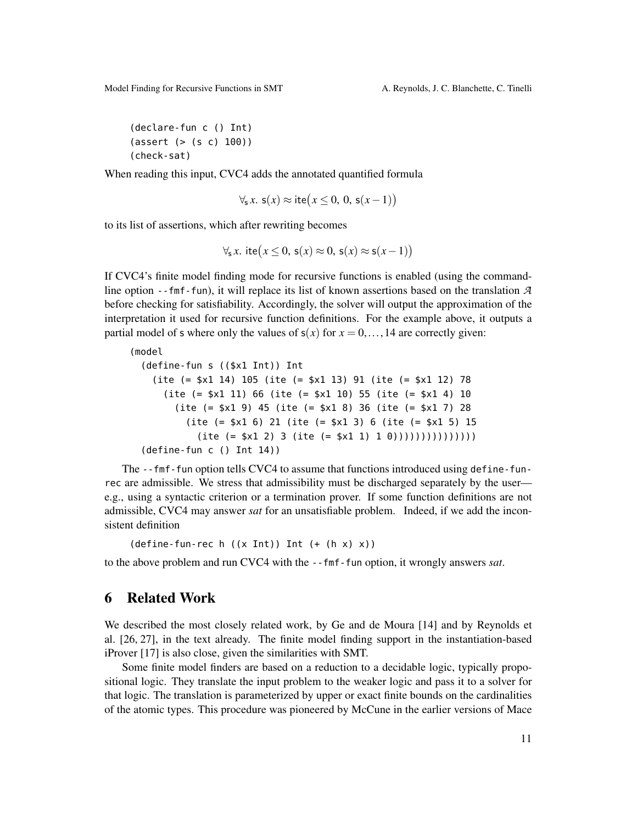```
(declare-fun c () Int)
(assert (> (s c) 100))
(check-sat)
```
When reading this input, CVC4 adds the annotated quantified formula

$$
\forall_{s} x. s(x) \approx \text{ite}(x \leq 0, 0, s(x-1))
$$

to its list of assertions, which after rewriting becomes

$$
\forall_{s} x. \text{ite}(x \leq 0, s(x) \approx 0, s(x) \approx s(x-1))
$$

If CVC4's finite model finding mode for recursive functions is enabled (using the commandline option --fmf-fun), it will replace its list of known assertions based on the translation *A* before checking for satisfiability. Accordingly, the solver will output the approximation of the interpretation it used for recursive function definitions. For the example above, it outputs a partial model of s where only the values of  $s(x)$  for  $x = 0, \ldots, 14$  are correctly given:

```
(model
  (define-fun s (($x1 Int)) Int
    (ite (= $x1 14) 105 (ite (= $x1 13) 91 (ite (= $x1 12) 78
     (ite (= $x1 11) 66 (ite (= $x1 10) 55 (ite (= $x1 4) 10
        (ite (= $x1 9) 45 (ite (= $x1 8) 36 (ite (= $x1 7) 28
          (ite (= $x1 6) 21 (ite (= $x1 3) 6 (ite (= $x1 5) 15
           (ite (= $x1 2) 3 (ite (= $x1 1) 1 0))))))))))(define-fun c () Int 14))
```
The --fmf-fun option tells CVC4 to assume that functions introduced using define-funrec are admissible. We stress that admissibility must be discharged separately by the user e.g., using a syntactic criterion or a termination prover. If some function definitions are not admissible, CVC4 may answer *sat* for an unsatisfiable problem. Indeed, if we add the inconsistent definition

 $(define-fun-rec h ((x Int)) Int (+ (h x) x))$ 

to the above problem and run CVC4 with the --fmf-fun option, it wrongly answers *sat*.

# 6 Related Work

We described the most closely related work, by Ge and de Moura [\[14\]](#page-13-1) and by Reynolds et al. [\[26,](#page-13-2) [27\]](#page-13-3), in the text already. The finite model finding support in the instantiation-based iProver [\[17\]](#page-13-9) is also close, given the similarities with SMT.

Some finite model finders are based on a reduction to a decidable logic, typically propositional logic. They translate the input problem to the weaker logic and pass it to a solver for that logic. The translation is parameterized by upper or exact finite bounds on the cardinalities of the atomic types. This procedure was pioneered by McCune in the earlier versions of Mace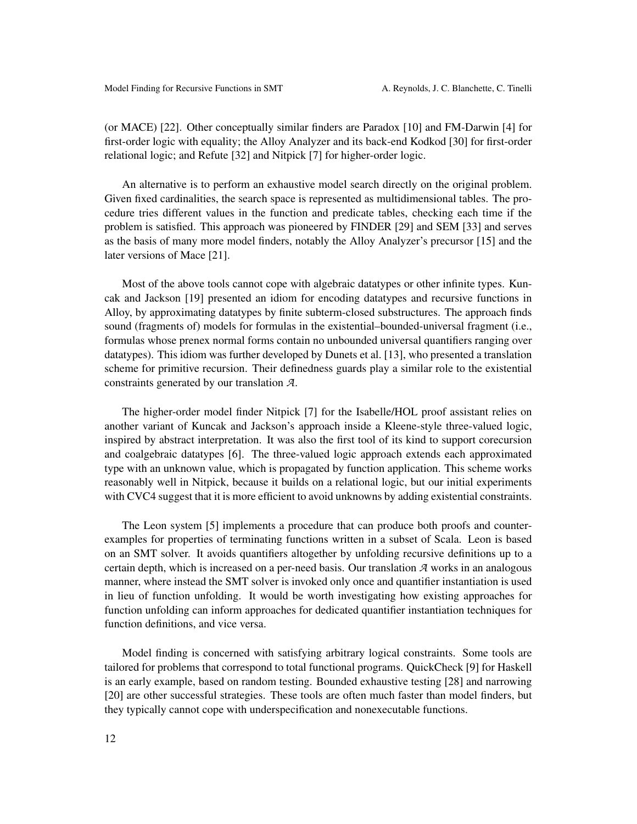(or MACE) [\[22\]](#page-13-10). Other conceptually similar finders are Paradox [\[10\]](#page-12-6) and FM-Darwin [\[4\]](#page-12-7) for first-order logic with equality; the Alloy Analyzer and its back-end Kodkod [\[30\]](#page-13-11) for first-order relational logic; and Refute [\[32\]](#page-13-12) and Nitpick [\[7\]](#page-12-8) for higher-order logic.

An alternative is to perform an exhaustive model search directly on the original problem. Given fixed cardinalities, the search space is represented as multidimensional tables. The procedure tries different values in the function and predicate tables, checking each time if the problem is satisfied. This approach was pioneered by FINDER [\[29\]](#page-13-13) and SEM [\[33\]](#page-13-14) and serves as the basis of many more model finders, notably the Alloy Analyzer's precursor [\[15\]](#page-13-15) and the later versions of Mace [\[21\]](#page-13-16).

Most of the above tools cannot cope with algebraic datatypes or other infinite types. Kuncak and Jackson [\[19\]](#page-13-17) presented an idiom for encoding datatypes and recursive functions in Alloy, by approximating datatypes by finite subterm-closed substructures. The approach finds sound (fragments of) models for formulas in the existential–bounded-universal fragment (i.e., formulas whose prenex normal forms contain no unbounded universal quantifiers ranging over datatypes). This idiom was further developed by Dunets et al. [\[13\]](#page-13-18), who presented a translation scheme for primitive recursion. Their definedness guards play a similar role to the existential constraints generated by our translation *A*.

The higher-order model finder Nitpick [\[7\]](#page-12-8) for the Isabelle/HOL proof assistant relies on another variant of Kuncak and Jackson's approach inside a Kleene-style three-valued logic, inspired by abstract interpretation. It was also the first tool of its kind to support corecursion and coalgebraic datatypes [\[6\]](#page-12-9). The three-valued logic approach extends each approximated type with an unknown value, which is propagated by function application. This scheme works reasonably well in Nitpick, because it builds on a relational logic, but our initial experiments with CVC4 suggest that it is more efficient to avoid unknowns by adding existential constraints.

The Leon system [\[5\]](#page-12-2) implements a procedure that can produce both proofs and counterexamples for properties of terminating functions written in a subset of Scala. Leon is based on an SMT solver. It avoids quantifiers altogether by unfolding recursive definitions up to a certain depth, which is increased on a per-need basis. Our translation *A* works in an analogous manner, where instead the SMT solver is invoked only once and quantifier instantiation is used in lieu of function unfolding. It would be worth investigating how existing approaches for function unfolding can inform approaches for dedicated quantifier instantiation techniques for function definitions, and vice versa.

Model finding is concerned with satisfying arbitrary logical constraints. Some tools are tailored for problems that correspond to total functional programs. QuickCheck [\[9\]](#page-12-10) for Haskell is an early example, based on random testing. Bounded exhaustive testing [\[28\]](#page-13-19) and narrowing [\[20\]](#page-13-20) are other successful strategies. These tools are often much faster than model finders, but they typically cannot cope with underspecification and nonexecutable functions.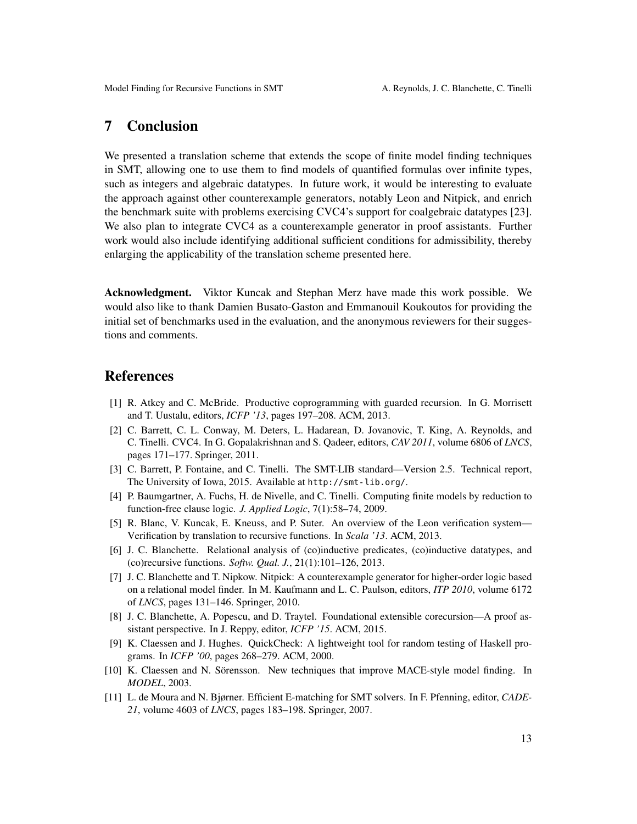# 7 Conclusion

We presented a translation scheme that extends the scope of finite model finding techniques in SMT, allowing one to use them to find models of quantified formulas over infinite types, such as integers and algebraic datatypes. In future work, it would be interesting to evaluate the approach against other counterexample generators, notably Leon and Nitpick, and enrich the benchmark suite with problems exercising CVC4's support for coalgebraic datatypes [\[23\]](#page-13-21). We also plan to integrate CVC4 as a counterexample generator in proof assistants. Further work would also include identifying additional sufficient conditions for admissibility, thereby enlarging the applicability of the translation scheme presented here.

Acknowledgment. Viktor Kuncak and Stephan Merz have made this work possible. We would also like to thank Damien Busato-Gaston and Emmanouil Koukoutos for providing the initial set of benchmarks used in the evaluation, and the anonymous reviewers for their suggestions and comments.

# References

- <span id="page-12-3"></span>[1] R. Atkey and C. McBride. Productive coprogramming with guarded recursion. In G. Morrisett and T. Uustalu, editors, *ICFP '13*, pages 197–208. ACM, 2013.
- <span id="page-12-5"></span>[2] C. Barrett, C. L. Conway, M. Deters, L. Hadarean, D. Jovanovic, T. King, A. Reynolds, and C. Tinelli. CVC4. In G. Gopalakrishnan and S. Qadeer, editors, *CAV 2011*, volume 6806 of *LNCS*, pages 171–177. Springer, 2011.
- <span id="page-12-1"></span>[3] C. Barrett, P. Fontaine, and C. Tinelli. The SMT-LIB standard—Version 2.5. Technical report, The University of Iowa, 2015. Available at <http://smt-lib.org/>.
- <span id="page-12-7"></span>[4] P. Baumgartner, A. Fuchs, H. de Nivelle, and C. Tinelli. Computing finite models by reduction to function-free clause logic. *J. Applied Logic*, 7(1):58–74, 2009.
- <span id="page-12-2"></span>[5] R. Blanc, V. Kuncak, E. Kneuss, and P. Suter. An overview of the Leon verification system— Verification by translation to recursive functions. In *Scala '13*. ACM, 2013.
- <span id="page-12-9"></span>[6] J. C. Blanchette. Relational analysis of (co)inductive predicates, (co)inductive datatypes, and (co)recursive functions. *Softw. Qual. J.*, 21(1):101–126, 2013.
- <span id="page-12-8"></span>[7] J. C. Blanchette and T. Nipkow. Nitpick: A counterexample generator for higher-order logic based on a relational model finder. In M. Kaufmann and L. C. Paulson, editors, *ITP 2010*, volume 6172 of *LNCS*, pages 131–146. Springer, 2010.
- <span id="page-12-4"></span>[8] J. C. Blanchette, A. Popescu, and D. Traytel. Foundational extensible corecursion—A proof assistant perspective. In J. Reppy, editor, *ICFP '15*. ACM, 2015.
- <span id="page-12-10"></span>[9] K. Claessen and J. Hughes. QuickCheck: A lightweight tool for random testing of Haskell programs. In *ICFP '00*, pages 268–279. ACM, 2000.
- <span id="page-12-6"></span>[10] K. Claessen and N. Sörensson. New techniques that improve MACE-style model finding. In *MODEL*, 2003.
- <span id="page-12-0"></span>[11] L. de Moura and N. Bjørner. Efficient E-matching for SMT solvers. In F. Pfenning, editor, *CADE-21*, volume 4603 of *LNCS*, pages 183–198. Springer, 2007.